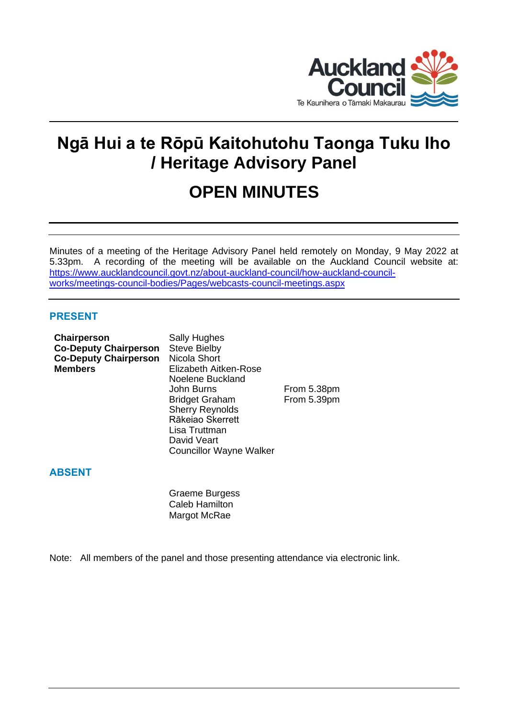

## **Ngā Hui a te Rōpū Kaitohutohu Taonga Tuku Iho / Heritage Advisory Panel**

# **OPEN MINUTES**

Minutes of a meeting of the Heritage Advisory Panel held remotely on Monday, 9 May 2022 at 5.33pm. A recording of the meeting will be available on the Auckland Council website at: [https://www.aucklandcouncil.govt.nz/about-auckland-council/how-auckland-council](https://www.aucklandcouncil.govt.nz/about-auckland-council/how-auckland-council-works/meetings-council-bodies/Pages/webcasts-council-meetings.aspx)[works/meetings-council-bodies/Pages/webcasts-council-meetings.aspx](https://www.aucklandcouncil.govt.nz/about-auckland-council/how-auckland-council-works/meetings-council-bodies/Pages/webcasts-council-meetings.aspx)

## **PRESENT**

**Chairperson** Sally Hughes **Co-Deputy Chairperson** Steve Bielby **Co-Deputy Chairperson** Nicola Short **Elizabeth Aitken-Rose** Noelene Buckland John Burns From 5.38pm Bridget Graham From 5.39pm Sherry Reynolds Rākeiao Skerrett Lisa Truttman David Veart Councillor Wayne Walker

## **ABSENT**

Graeme Burgess Caleb Hamilton Margot McRae

Note: All members of the panel and those presenting attendance via electronic link.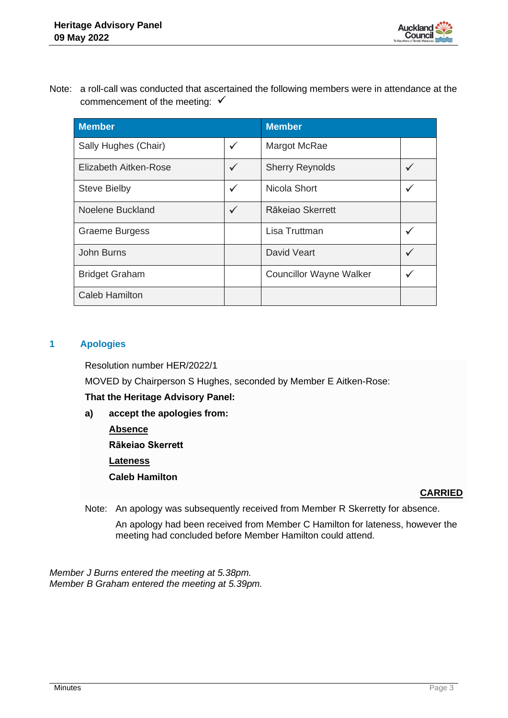

Note: a roll-call was conducted that ascertained the following members were in attendance at the commencement of the meeting:  $\checkmark$ 

| <b>Member</b>         |              | <b>Member</b>                  |              |
|-----------------------|--------------|--------------------------------|--------------|
| Sally Hughes (Chair)  | $\checkmark$ | Margot McRae                   |              |
| Elizabeth Aitken-Rose | $\checkmark$ | <b>Sherry Reynolds</b>         |              |
| <b>Steve Bielby</b>   | $\checkmark$ | Nicola Short                   | $\checkmark$ |
| Noelene Buckland      | $\checkmark$ | Rākejao Skerrett               |              |
| <b>Graeme Burgess</b> |              | Lisa Truttman                  | $\checkmark$ |
| John Burns            |              | David Veart                    |              |
| <b>Bridget Graham</b> |              | <b>Councillor Wayne Walker</b> |              |
| <b>Caleb Hamilton</b> |              |                                |              |

## **1 Apologies**

Resolution number HER/2022/1

MOVED by Chairperson S Hughes, seconded by Member E Aitken-Rose:

### **That the Heritage Advisory Panel:**

- **a) accept the apologies from:**
	- **Absence**

**Rākeiao Skerrett** 

**Lateness**

**Caleb Hamilton**

## **CARRIED**

Note: An apology was subsequently received from Member R Skerretty for absence.

An apology had been received from Member C Hamilton for lateness, however the meeting had concluded before Member Hamilton could attend.

*Member J Burns entered the meeting at 5.38pm. Member B Graham entered the meeting at 5.39pm.*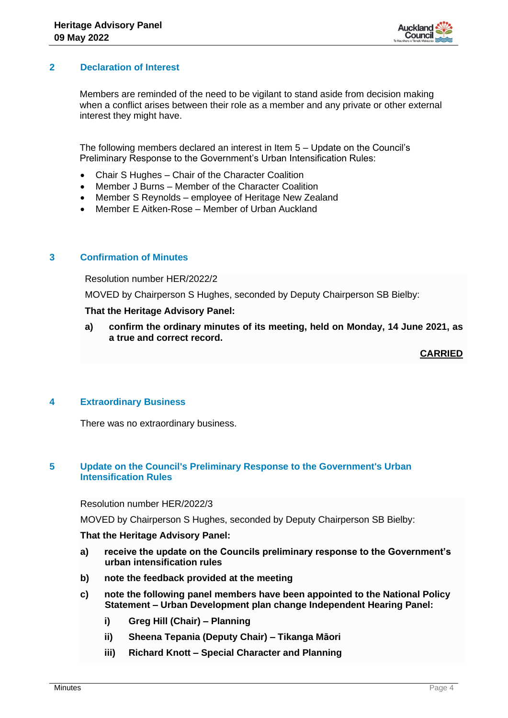

### **2 Declaration of Interest**

Members are reminded of the need to be vigilant to stand aside from decision making when a conflict arises between their role as a member and any private or other external interest they might have.

The following members declared an interest in Item 5 – Update on the Council's Preliminary Response to the Government's Urban Intensification Rules:

- Chair S Hughes Chair of the Character Coalition
- Member J Burns Member of the Character Coalition
- Member S Reynolds employee of Heritage New Zealand
- Member E Aitken-Rose Member of Urban Auckland

## **3 Confirmation of Minutes**

Resolution number HER/2022/2

MOVED by Chairperson S Hughes, seconded by Deputy Chairperson SB Bielby:

### **That the Heritage Advisory Panel:**

**a) confirm the ordinary minutes of its meeting, held on Monday, 14 June 2021, as a true and correct record.**

**CARRIED**

#### **4 Extraordinary Business**

There was no extraordinary business.

## **5 Update on the Council's Preliminary Response to the Government's Urban Intensification Rules**

#### Resolution number HER/2022/3

MOVED by Chairperson S Hughes, seconded by Deputy Chairperson SB Bielby:

#### **That the Heritage Advisory Panel:**

- **a) receive the update on the Councils preliminary response to the Government's urban intensification rules**
- **b) note the feedback provided at the meeting**
- **c) note the following panel members have been appointed to the National Policy Statement – Urban Development plan change Independent Hearing Panel:**
	- **i) Greg Hill (Chair) – Planning**
	- **ii) Sheena Tepania (Deputy Chair) – Tikanga Māori**
	- **iii) Richard Knott – Special Character and Planning**